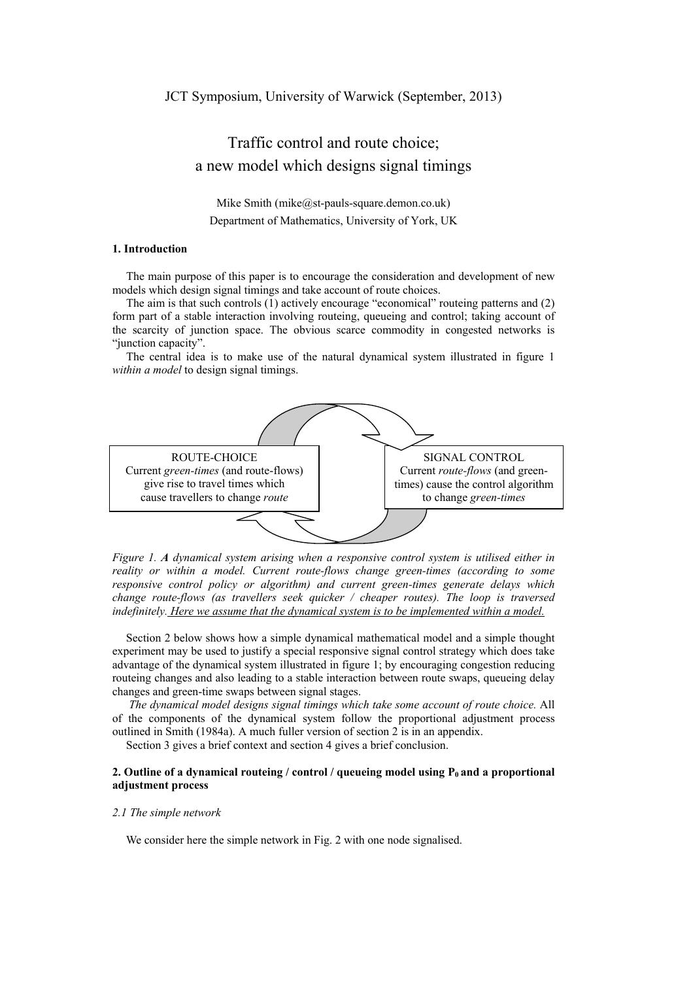# Traffic control and route choice; a new model which designs signal timings

Mike Smith (mike@st-pauls-square.demon.co.uk) Department of Mathematics, University of York, UK

# **1. Introduction**

The main purpose of this paper is to encourage the consideration and development of new models which design signal timings and take account of route choices.

The aim is that such controls (1) actively encourage "economical" routeing patterns and (2) form part of a stable interaction involving routeing, queueing and control; taking account of the scarcity of junction space. The obvious scarce commodity in congested networks is "junction capacity".

The central idea is to make use of the natural dynamical system illustrated in figure 1 *within a model* to design signal timings.



*Figure 1. A dynamical system arising when a responsive control system is utilised either in reality or within a model. Current route-flows change green-times (according to some responsive control policy or algorithm) and current green-times generate delays which change route-flows (as travellers seek quicker / cheaper routes). The loop is traversed indefinitely. Here we assume that the dynamical system is to be implemented within a model.* 

Section 2 below shows how a simple dynamical mathematical model and a simple thought experiment may be used to justify a special responsive signal control strategy which does take advantage of the dynamical system illustrated in figure 1; by encouraging congestion reducing routeing changes and also leading to a stable interaction between route swaps, queueing delay changes and green-time swaps between signal stages.

*The dynamical model designs signal timings which take some account of route choice.* All of the components of the dynamical system follow the proportional adjustment process outlined in Smith (1984a). A much fuller version of section 2 is in an appendix.

Section 3 gives a brief context and section 4 gives a brief conclusion.

# **2. Outline of a dynamical routeing / control / queueing model using P<sub>0</sub> and a proportional adjustment process**

#### *2.1 The simple network*

We consider here the simple network in Fig. 2 with one node signalised.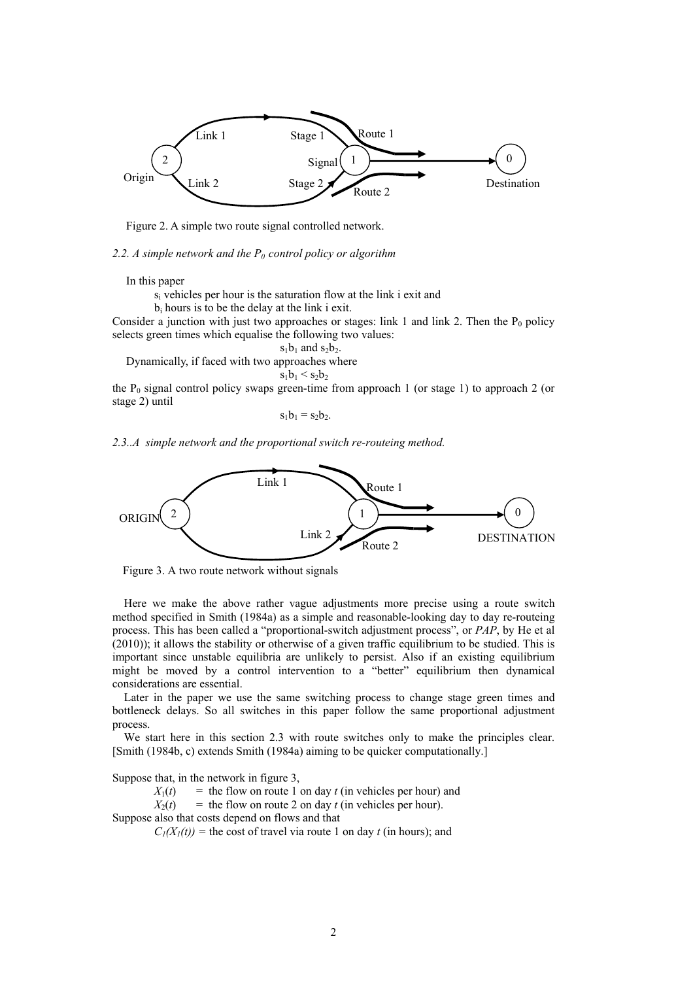

Figure 2. A simple two route signal controlled network.

2.2. A simple network and the P<sub>0</sub> control policy or algorithm

In this paper

si vehicles per hour is the saturation flow at the link i exit and

bi hours is to be the delay at the link i exit.

Consider a junction with just two approaches or stages: link 1 and link 2. Then the  $P_0$  policy selects green times which equalise the following two values:

 $s_1b_1$  and  $s_2b_2$ .

Dynamically, if faced with two approaches where

 $s_1b_1 < s_2b_2$ 

the  $P_0$  signal control policy swaps green-time from approach 1 (or stage 1) to approach 2 (or stage 2) until

 $s_1b_1 = s_2b_2$ .

*2.3..A simple network and the proportional switch re-routeing method.* 



Figure 3. A two route network without signals

Here we make the above rather vague adjustments more precise using a route switch method specified in Smith (1984a) as a simple and reasonable-looking day to day re-routeing process. This has been called a "proportional-switch adjustment process", or *PAP*, by He et al (2010)); it allows the stability or otherwise of a given traffic equilibrium to be studied. This is important since unstable equilibria are unlikely to persist. Also if an existing equilibrium might be moved by a control intervention to a "better" equilibrium then dynamical considerations are essential.

Later in the paper we use the same switching process to change stage green times and bottleneck delays. So all switches in this paper follow the same proportional adjustment process.

We start here in this section 2.3 with route switches only to make the principles clear. [Smith (1984b, c) extends Smith (1984a) aiming to be quicker computationally.]

Suppose that, in the network in figure 3,

 $X_1(t)$  = the flow on route 1 on day *t* (in vehicles per hour) and

 $X_2(t)$  = the flow on route 2 on day *t* (in vehicles per hour).

Suppose also that costs depend on flows and that

 $C_1(X_1(t))$  = the cost of travel via route 1 on day *t* (in hours); and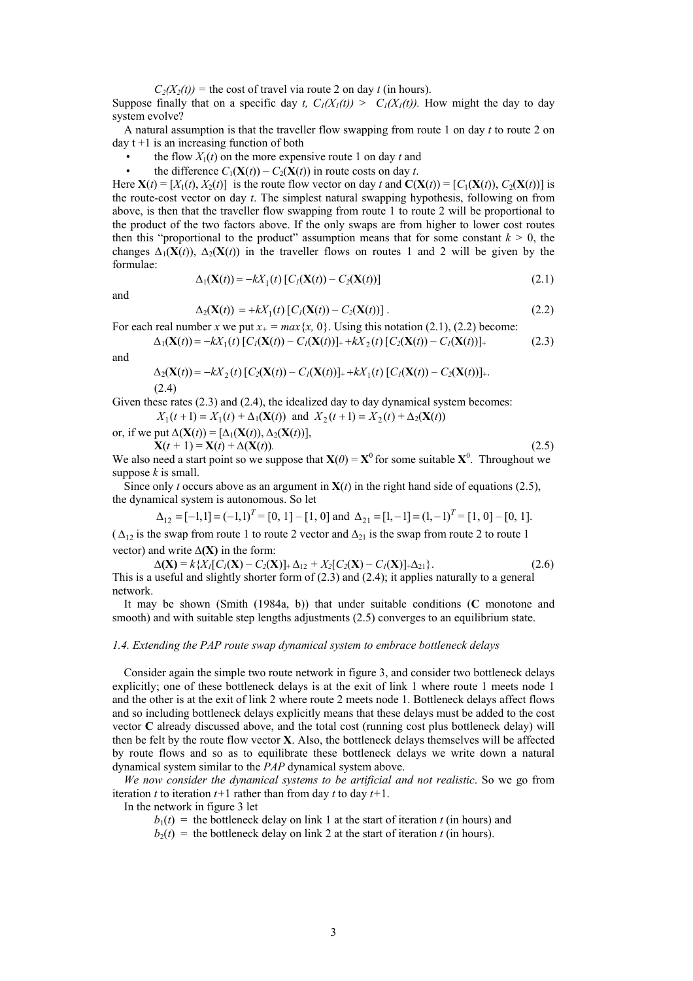$C_2(X_2(t))$  = the cost of travel via route 2 on day *t* (in hours).

Suppose finally that on a specific day *t*,  $C_1(X_1(t)) > C_1(X_1(t))$ . How might the day to day system evolve?

A natural assumption is that the traveller flow swapping from route 1 on day *t* to route 2 on day t +1 is an increasing function of both

- the flow  $X_1(t)$  on the more expensive route 1 on day *t* and
- the difference  $C_1(\mathbf{X}(t)) C_2(\mathbf{X}(t))$  in route costs on day *t*.

Here  $\mathbf{X}(t) = [X_1(t), X_2(t)]$  is the route flow vector on day *t* and  $\mathbf{C}(\mathbf{X}(t)) = [C_1(\mathbf{X}(t)), C_2(\mathbf{X}(t))]$  is the route-cost vector on day *t*. The simplest natural swapping hypothesis, following on from above, is then that the traveller flow swapping from route 1 to route 2 will be proportional to the product of the two factors above. If the only swaps are from higher to lower cost routes then this "proportional to the product" assumption means that for some constant  $k > 0$ , the changes  $\Delta_1(\mathbf{X}(t))$ ,  $\Delta_2(\mathbf{X}(t))$  in the traveller flows on routes 1 and 2 will be given by the formulae:

$$
\Delta_1(\mathbf{X}(t)) = -kX_1(t) [C_1(\mathbf{X}(t)) - C_2(\mathbf{X}(t))]
$$
\n(2.1)

and

$$
\Delta_2(\mathbf{X}(t)) = +kX_1(t)[C_I(\mathbf{X}(t)) - C_2(\mathbf{X}(t))]. \tag{2.2}
$$

For each real number *x* we put  $x_+ = max\{x, 0\}$ . Using this notation (2.1), (2.2) become:

 $\Delta_1(\mathbf{X}(t)) = -kX_1(t) [C_1(\mathbf{X}(t)) - C_1(\mathbf{X}(t))]_+ + kX_2(t) [C_2(\mathbf{X}(t)) - C_1(\mathbf{X}(t))]_+$  (2.3) and

$$
\Delta_2(\mathbf{X}(t)) = -kX_2(t) [C_2(\mathbf{X}(t)) - C_1(\mathbf{X}(t))]_+ + kX_1(t) [C_1(\mathbf{X}(t)) - C_2(\mathbf{X}(t))]_+.
$$
\n(2.4)

Given these rates (2.3) and (2.4), the idealized day to day dynamical system becomes:

 $X_1(t+1) = X_1(t) + \Delta_1(\mathbf{X}(t))$  and  $X_2(t+1) = X_2(t) + \Delta_2(\mathbf{X}(t))$ 

or, if we put  $\Delta(\mathbf{X}(t)) = [\Delta_1(\mathbf{X}(t)), \Delta_2(\mathbf{X}(t))],$ 

 $X(t + 1) = X(t) + \Delta(X(t))$ . (2.5) We also need a start point so we suppose that  $X(0) = X^0$  for some suitable  $X^0$ . Throughout we suppose *k* is small.

Since only *t* occurs above as an argument in  $X(t)$  in the right hand side of equations (2.5), the dynamical system is autonomous. So let

$$
\Delta_{12} = [-1, 1] = (-1, 1)^{T} = [0, 1] - [1, 0] \text{ and } \Delta_{21} = [1, -1] = (1, -1)^{T} = [1, 0] - [0, 1].
$$

( $\Delta_{12}$  is the swap from route 1 to route 2 vector and  $\Delta_{21}$  is the swap from route 2 to route 1 vector) and write **∆(X)** in the form:

 $\Delta$ **(X)** =  $k\{X_i[C_i(\mathbf{X}) - C_2(\mathbf{X})]_+ \Delta_{12} + X_2[C_2(\mathbf{X}) - C_1(\mathbf{X})]_+ \Delta_{21} \}.$  (2.6) This is a useful and slightly shorter form of  $(2.3)$  and  $(2.4)$ ; it applies naturally to a general network.

It may be shown (Smith (1984a, b)) that under suitable conditions (**C** monotone and smooth) and with suitable step lengths adjustments (2.5) converges to an equilibrium state.

## *1.4. Extending the PAP route swap dynamical system to embrace bottleneck delays*

 Consider again the simple two route network in figure 3, and consider two bottleneck delays explicitly; one of these bottleneck delays is at the exit of link 1 where route 1 meets node 1 and the other is at the exit of link 2 where route 2 meets node 1. Bottleneck delays affect flows and so including bottleneck delays explicitly means that these delays must be added to the cost vector **C** already discussed above, and the total cost (running cost plus bottleneck delay) will then be felt by the route flow vector **X**. Also, the bottleneck delays themselves will be affected by route flows and so as to equilibrate these bottleneck delays we write down a natural dynamical system similar to the *PAP* dynamical system above.

*We now consider the dynamical systems to be artificial and not realistic*. So we go from iteration *t* to iteration  $t+1$  rather than from day *t* to day  $t+1$ .

In the network in figure 3 let

 $b_1(t)$  = the bottleneck delay on link 1 at the start of iteration *t* (in hours) and

 $b_2(t)$  = the bottleneck delay on link 2 at the start of iteration *t* (in hours).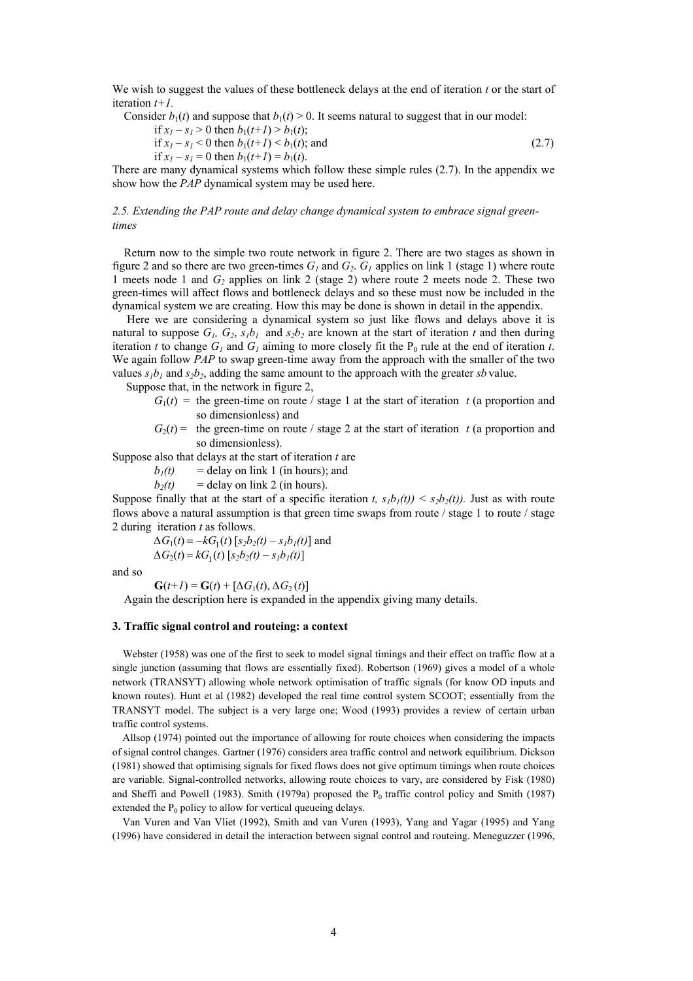We wish to suggest the values of these bottleneck delays at the end of iteration *t* or the start of iteration *t+1.* 

Consider  $b_1(t)$  and suppose that  $b_1(t) > 0$ . It seems natural to suggest that in our model:

if 
$$
x_1 - s_1 > 0
$$
 then  $b_1(t+1) > b_1(t)$ ;

if 
$$
x_1 - s_1 < 0
$$
 then  $b_1(t+1) < b_1(t)$ ; and (2.7)

if  $x_1 - s_1 = 0$  then  $b_1(t+1) = b_1(t)$ .

There are many dynamical systems which follow these simple rules (2.7). In the appendix we show how the *PAP* dynamical system may be used here.

## *2.5. Extending the PAP route and delay change dynamical system to embrace signal greentimes*

Return now to the simple two route network in figure 2. There are two stages as shown in figure 2 and so there are two green-times  $G_l$  and  $G_2$ .  $G_l$  applies on link 1 (stage 1) where route 1 meets node 1 and *G2* applies on link 2 (stage 2) where route 2 meets node 2. These two green-times will affect flows and bottleneck delays and so these must now be included in the dynamical system we are creating. How this may be done is shown in detail in the appendix.

Here we are considering a dynamical system so just like flows and delays above it is natural to suppose  $G_1$ ,  $G_2$ ,  $s_1b_1$  and  $s_2b_2$  are known at the start of iteration *t* and then during iteration *t* to change  $G_l$  and  $G_l$  aiming to more closely fit the  $P_0$  rule at the end of iteration *t*. We again follow *PAP* to swap green-time away from the approach with the smaller of the two values  $s_1b_1$  and  $s_2b_2$ , adding the same amount to the approach with the greater *sb* value.

Suppose that, in the network in figure 2,

- $G_1(t)$  = the green-time on route / stage 1 at the start of iteration *t* (a proportion and so dimensionless) and
- $G_2(t)$  = the green-time on route / stage 2 at the start of iteration *t* (a proportion and so dimensionless).

Suppose also that delays at the start of iteration *t* are

 $b_1(t)$  = delay on link 1 (in hours); and

 $b_2(t)$  = delay on link 2 (in hours).

Suppose finally that at the start of a specific iteration *t*,  $s<sub>1</sub>b<sub>1</sub>(t)$   $\leq$   $s<sub>2</sub>b<sub>2</sub>(t)$ ). Just as with route flows above a natural assumption is that green time swaps from route / stage 1 to route / stage 2 during iteration *t* as follows.

 $\Delta G_1(t) = -kG_1(t) [s_2b_2(t) - s_1b_1(t)]$  and  $\Delta G_2(t) = kG_1(t) [s_2b_2(t) - s_1b_1(t)]$ 

and so

 $G(t+1) = G(t) + [\Delta G_1(t), \Delta G_2(t)]$ 

Again the description here is expanded in the appendix giving many details.

## **3. Traffic signal control and routeing: a context**

Webster (1958) was one of the first to seek to model signal timings and their effect on traffic flow at a single junction (assuming that flows are essentially fixed). Robertson (1969) gives a model of a whole network (TRANSYT) allowing whole network optimisation of traffic signals (for know OD inputs and known routes). Hunt et al (1982) developed the real time control system SCOOT; essentially from the TRANSYT model. The subject is a very large one; Wood (1993) provides a review of certain urban traffic control systems.

Allsop (1974) pointed out the importance of allowing for route choices when considering the impacts of signal control changes. Gartner (1976) considers area traffic control and network equilibrium. Dickson (1981) showed that optimising signals for fixed flows does not give optimum timings when route choices are variable. Signal-controlled networks, allowing route choices to vary, are considered by Fisk (1980) and Sheffi and Powell (1983). Smith (1979a) proposed the  $P_0$  traffic control policy and Smith (1987) extended the  $P_0$  policy to allow for vertical queueing delays.

Van Vuren and Van Vliet (1992), Smith and van Vuren (1993), Yang and Yagar (1995) and Yang (1996) have considered in detail the interaction between signal control and routeing. Meneguzzer (1996,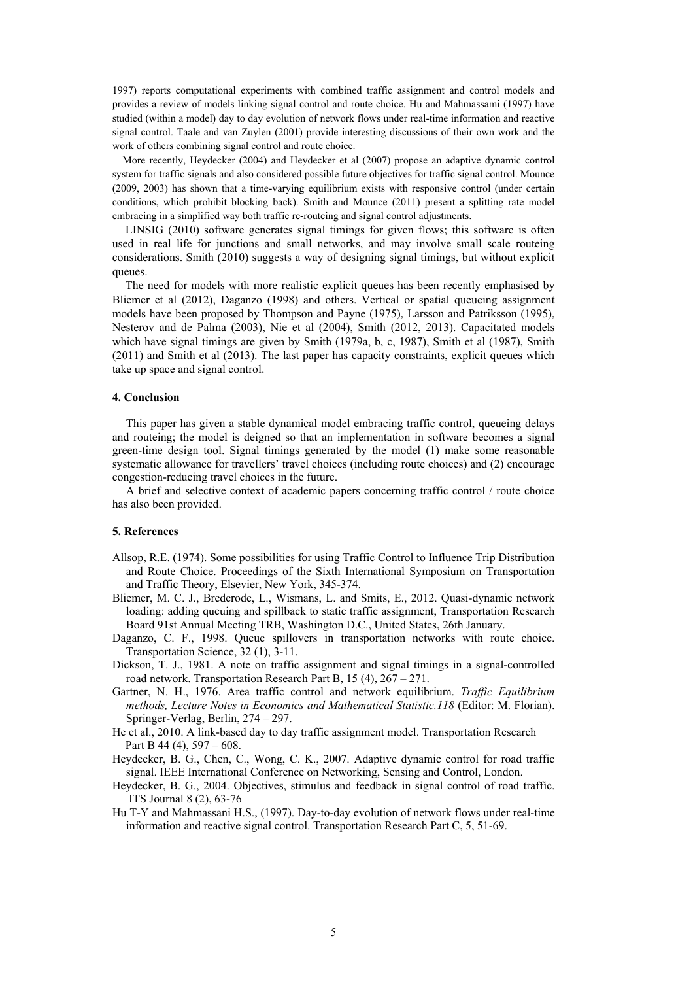1997) reports computational experiments with combined traffic assignment and control models and provides a review of models linking signal control and route choice. Hu and Mahmassami (1997) have studied (within a model) day to day evolution of network flows under real-time information and reactive signal control. Taale and van Zuylen (2001) provide interesting discussions of their own work and the work of others combining signal control and route choice.

More recently, Heydecker (2004) and Heydecker et al (2007) propose an adaptive dynamic control system for traffic signals and also considered possible future objectives for traffic signal control. Mounce (2009, 2003) has shown that a time-varying equilibrium exists with responsive control (under certain conditions, which prohibit blocking back). Smith and Mounce (2011) present a splitting rate model embracing in a simplified way both traffic re-routeing and signal control adjustments.

LINSIG (2010) software generates signal timings for given flows; this software is often used in real life for junctions and small networks, and may involve small scale routeing considerations. Smith (2010) suggests a way of designing signal timings, but without explicit queues.

The need for models with more realistic explicit queues has been recently emphasised by Bliemer et al (2012), Daganzo (1998) and others. Vertical or spatial queueing assignment models have been proposed by Thompson and Payne (1975), Larsson and Patriksson (1995), Nesterov and de Palma (2003), Nie et al (2004), Smith (2012, 2013). Capacitated models which have signal timings are given by Smith (1979a, b, c, 1987), Smith et al (1987), Smith (2011) and Smith et al (2013). The last paper has capacity constraints, explicit queues which take up space and signal control.

## **4. Conclusion**

This paper has given a stable dynamical model embracing traffic control, queueing delays and routeing; the model is deigned so that an implementation in software becomes a signal green-time design tool. Signal timings generated by the model (1) make some reasonable systematic allowance for travellers' travel choices (including route choices) and (2) encourage congestion-reducing travel choices in the future.

A brief and selective context of academic papers concerning traffic control / route choice has also been provided.

## **5. References**

- Allsop, R.E. (1974). Some possibilities for using Traffic Control to Influence Trip Distribution and Route Choice. Proceedings of the Sixth International Symposium on Transportation and Traffic Theory, Elsevier, New York, 345-374.
- Bliemer, M. C. J., Brederode, L., Wismans, L. and Smits, E., 2012. Quasi-dynamic network loading: adding queuing and spillback to static traffic assignment, Transportation Research Board 91st Annual Meeting TRB, Washington D.C., United States, 26th January.
- Daganzo, C. F., 1998. Queue spillovers in transportation networks with route choice. Transportation Science, 32 (1), 3-11.
- Dickson, T. J., 1981. A note on traffic assignment and signal timings in a signal-controlled road network. Transportation Research Part B, 15 (4), 267 – 271.
- Gartner, N. H., 1976. Area traffic control and network equilibrium. *Traffic Equilibrium methods, Lecture Notes in Economics and Mathematical Statistic.118* (Editor: M. Florian). Springer-Verlag, Berlin, 274 – 297.
- He et al., 2010. A link-based day to day traffic assignment model. Transportation Research Part B 44 (4), 597 – 608.
- Heydecker, B. G., Chen, C., Wong, C. K., 2007. Adaptive dynamic control for road traffic signal. IEEE International Conference on Networking, Sensing and Control, London.
- Heydecker, B. G., 2004. Objectives, stimulus and feedback in signal control of road traffic. ITS Journal 8 (2), 63-76
- Hu T-Y and Mahmassani H.S., (1997). Day-to-day evolution of network flows under real-time information and reactive signal control. Transportation Research Part C, 5, 51-69.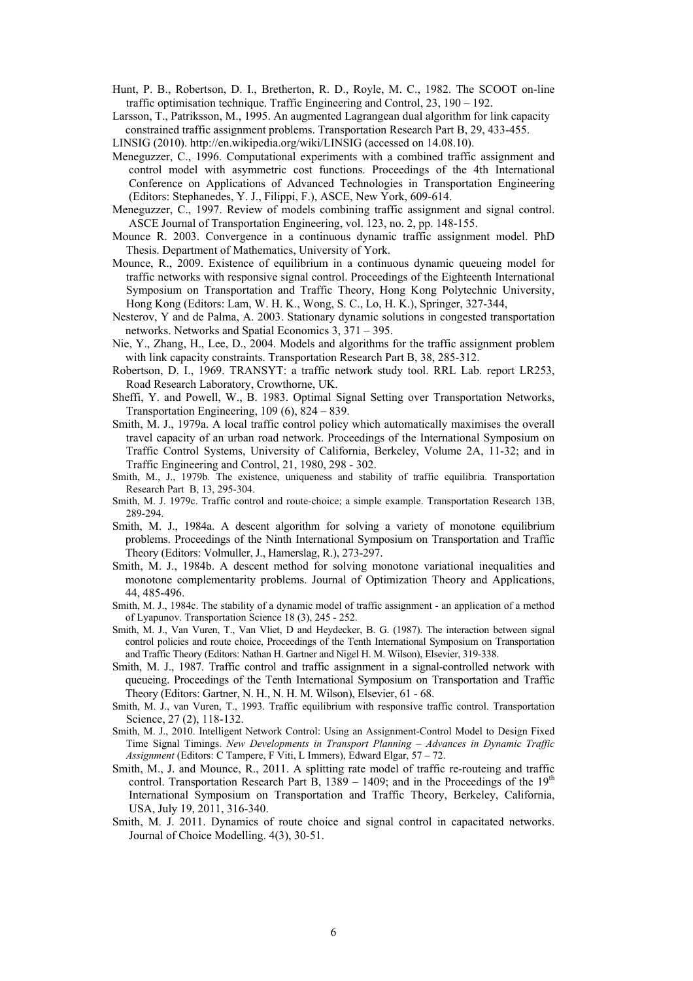- Hunt, P. B., Robertson, D. I., Bretherton, R. D., Royle, M. C., 1982. The SCOOT on-line traffic optimisation technique. Traffic Engineering and Control, 23, 190 – 192.
- Larsson, T., Patriksson, M., 1995. An augmented Lagrangean dual algorithm for link capacity constrained traffic assignment problems. Transportation Research Part B, 29, 433-455.
- LINSIG (2010). http://en.wikipedia.org/wiki/LINSIG (accessed on 14.08.10).
- Meneguzzer, C., 1996. Computational experiments with a combined traffic assignment and control model with asymmetric cost functions. Proceedings of the 4th International Conference on Applications of Advanced Technologies in Transportation Engineering (Editors: Stephanedes, Y. J., Filippi, F.), ASCE, New York, 609-614.
- Meneguzzer, C., 1997. Review of models combining traffic assignment and signal control. ASCE Journal of Transportation Engineering, vol. 123, no. 2, pp. 148-155.
- Mounce R. 2003. Convergence in a continuous dynamic traffic assignment model. PhD Thesis. Department of Mathematics, University of York.
- Mounce, R., 2009. Existence of equilibrium in a continuous dynamic queueing model for traffic networks with responsive signal control. Proceedings of the Eighteenth International Symposium on Transportation and Traffic Theory, Hong Kong Polytechnic University, Hong Kong (Editors: Lam, W. H. K., Wong, S. C., Lo, H. K.), Springer, 327-344,
- Nesterov, Y and de Palma, A. 2003. Stationary dynamic solutions in congested transportation networks. Networks and Spatial Economics 3, 371 – 395.
- Nie, Y., Zhang, H., Lee, D., 2004. Models and algorithms for the traffic assignment problem with link capacity constraints. Transportation Research Part B, 38, 285-312.
- Robertson, D. I., 1969. TRANSYT: a traffic network study tool. RRL Lab. report LR253, Road Research Laboratory, Crowthorne, UK.
- Sheffi, Y. and Powell, W., B. 1983. Optimal Signal Setting over Transportation Networks, Transportation Engineering, 109 (6), 824 – 839.
- Smith, M. J., 1979a. A local traffic control policy which automatically maximises the overall travel capacity of an urban road network. Proceedings of the International Symposium on Traffic Control Systems, University of California, Berkeley, Volume 2A, 11-32; and in Traffic Engineering and Control, 21, 1980, 298 - 302.
- Smith, M., J., 1979b. The existence, uniqueness and stability of traffic equilibria. Transportation Research Part B, 13, 295-304.
- Smith, M. J. 1979c. Traffic control and route-choice; a simple example. Transportation Research 13B, 289-294.
- Smith, M. J., 1984a. A descent algorithm for solving a variety of monotone equilibrium problems. Proceedings of the Ninth International Symposium on Transportation and Traffic Theory (Editors: Volmuller, J., Hamerslag, R.), 273-297.
- Smith, M. J., 1984b. A descent method for solving monotone variational inequalities and monotone complementarity problems. Journal of Optimization Theory and Applications, 44, 485-496.
- Smith, M. J., 1984c. The stability of a dynamic model of traffic assignment an application of a method of Lyapunov. Transportation Science 18 (3), 245 - 252.
- Smith, M. J., Van Vuren, T., Van Vliet, D and Heydecker, B. G. (1987). The interaction between signal control policies and route choice, Proceedings of the Tenth International Symposium on Transportation and Traffic Theory (Editors: Nathan H. Gartner and Nigel H. M. Wilson), Elsevier, 319-338.
- Smith, M. J., 1987. Traffic control and traffic assignment in a signal-controlled network with queueing. Proceedings of the Tenth International Symposium on Transportation and Traffic Theory (Editors: Gartner, N. H., N. H. M. Wilson), Elsevier, 61 - 68.
- Smith, M. J., van Vuren, T., 1993. Traffic equilibrium with responsive traffic control. Transportation Science, 27 (2), 118-132.
- Smith, M. J., 2010. Intelligent Network Control: Using an Assignment-Control Model to Design Fixed Time Signal Timings. *New Developments in Transport Planning – Advances in Dynamic Traffic Assignment* (Editors: C Tampere, F Viti, L Immers), Edward Elgar, 57 – 72.
- Smith, M., J. and Mounce, R., 2011. A splitting rate model of traffic re-routeing and traffic control. Transportation Research Part B,  $1389 - 1409$ ; and in the Proceedings of the  $19<sup>th</sup>$ International Symposium on Transportation and Traffic Theory, Berkeley, California, USA, July 19, 2011, 316-340.
- Smith, M. J. 2011. Dynamics of route choice and signal control in capacitated networks. Journal of Choice Modelling. 4(3), 30-51.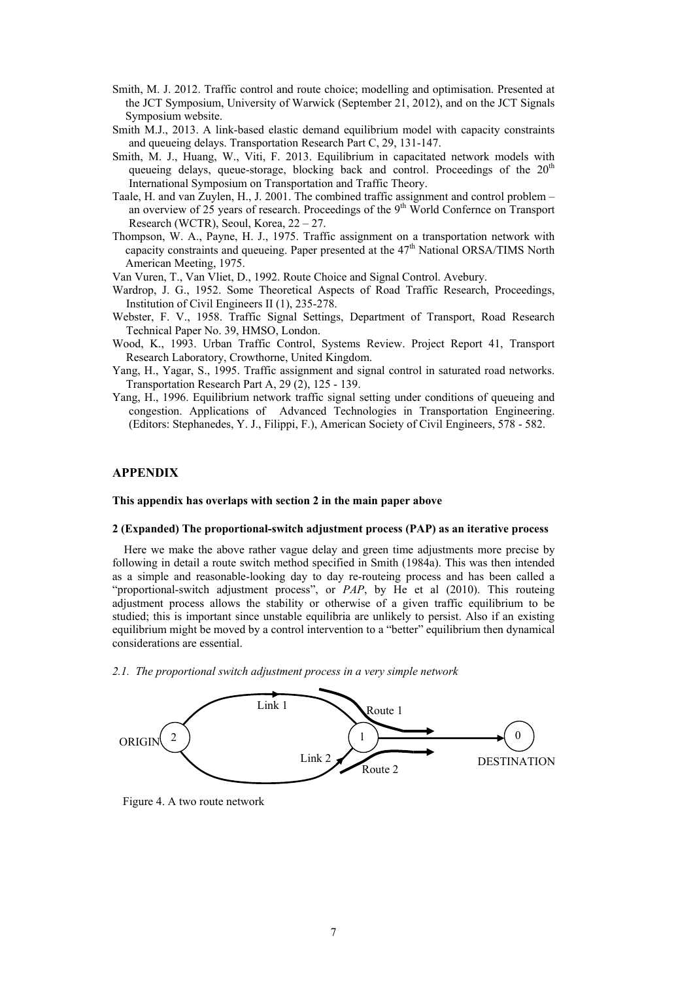- Smith, M. J. 2012. Traffic control and route choice; modelling and optimisation. Presented at the JCT Symposium, University of Warwick (September 21, 2012), and on the JCT Signals Symposium website.
- Smith M.J., 2013. A link-based elastic demand equilibrium model with capacity constraints and queueing delays. Transportation Research Part C, 29, 131-147.
- Smith, M. J., Huang, W., Viti, F. 2013. Equilibrium in capacitated network models with queueing delays, queue-storage, blocking back and control. Proceedings of the  $20<sup>th</sup>$ International Symposium on Transportation and Traffic Theory.
- Taale, H. and van Zuylen, H., J. 2001. The combined traffic assignment and control problem an overview of 25 years of research. Proceedings of the  $9<sup>th</sup>$  World Confernce on Transport Research (WCTR), Seoul, Korea, 22 – 27.
- Thompson, W. A., Payne, H. J., 1975. Traffic assignment on a transportation network with capacity constraints and queueing. Paper presented at the  $47<sup>th</sup>$  National ORSA/TIMS North American Meeting, 1975.
- Van Vuren, T., Van Vliet, D., 1992. Route Choice and Signal Control. Avebury.
- Wardrop, J. G., 1952. Some Theoretical Aspects of Road Traffic Research, Proceedings, Institution of Civil Engineers II (1), 235-278.
- Webster, F. V., 1958. Traffic Signal Settings, Department of Transport, Road Research Technical Paper No. 39, HMSO, London.
- Wood, K., 1993. Urban Traffic Control, Systems Review. Project Report 41, Transport Research Laboratory, Crowthorne, United Kingdom.
- Yang, H., Yagar, S., 1995. Traffic assignment and signal control in saturated road networks. Transportation Research Part A, 29 (2), 125 - 139.
- Yang, H., 1996. Equilibrium network traffic signal setting under conditions of queueing and congestion. Applications of Advanced Technologies in Transportation Engineering. (Editors: Stephanedes, Y. J., Filippi, F.), American Society of Civil Engineers, 578 - 582.

## **APPENDIX**

#### **This appendix has overlaps with section 2 in the main paper above**

#### **2 (Expanded) The proportional-switch adjustment process (PAP) as an iterative process**

Here we make the above rather vague delay and green time adjustments more precise by following in detail a route switch method specified in Smith (1984a). This was then intended as a simple and reasonable-looking day to day re-routeing process and has been called a "proportional-switch adjustment process", or *PAP*, by He et al (2010). This routeing adjustment process allows the stability or otherwise of a given traffic equilibrium to be studied; this is important since unstable equilibria are unlikely to persist. Also if an existing equilibrium might be moved by a control intervention to a "better" equilibrium then dynamical considerations are essential.

*2.1. The proportional switch adjustment process in a very simple network*



Figure 4. A two route network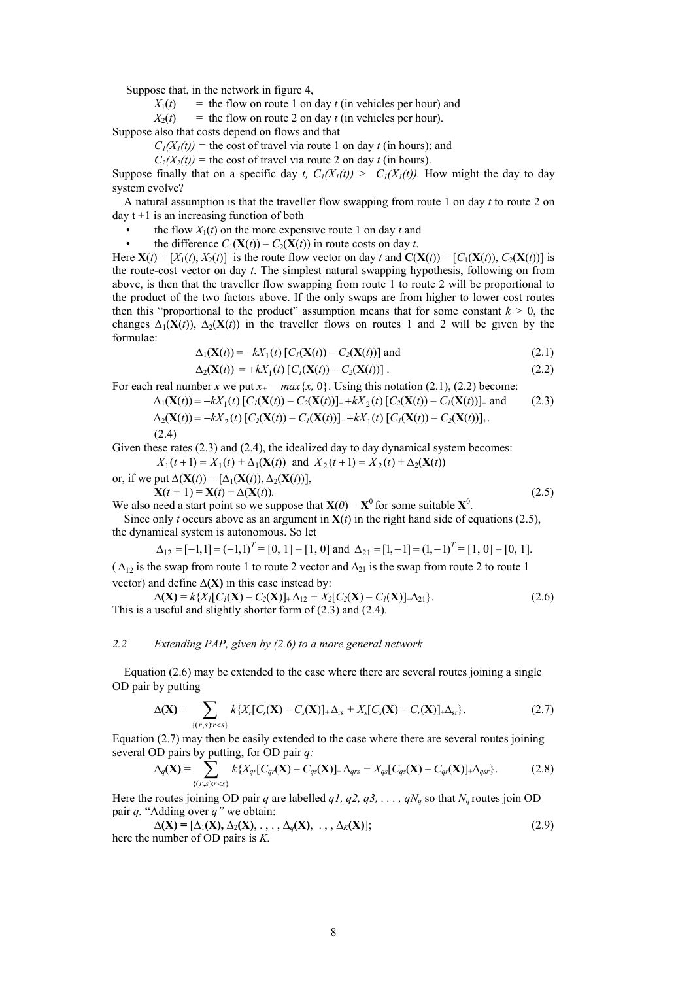Suppose that, in the network in figure 4,

 $X_1(t)$  = the flow on route 1 on day *t* (in vehicles per hour) and

 $X_2(t)$  = the flow on route 2 on day *t* (in vehicles per hour).

Suppose also that costs depend on flows and that

 $C_1(X_1(t))$  = the cost of travel via route 1 on day *t* (in hours); and

 $C_2(X_2(t))$  = the cost of travel via route 2 on day *t* (in hours).

Suppose finally that on a specific day *t, C<sub>1</sub>(X<sub>1</sub>(t)) > C<sub>1</sub>(X<sub>1</sub>(t)). How might the day to day* system evolve?

A natural assumption is that the traveller flow swapping from route 1 on day *t* to route 2 on  $d$ av t +1 is an increasing function of both

- the flow  $X_1(t)$  on the more expensive route 1 on day *t* and<br>• the difference  $C_1(\mathbf{X}(t)) = C_2(\mathbf{X}(t))$  in route costs on day *t* 
	- the difference  $C_1(\mathbf{X}(t)) C_2(\mathbf{X}(t))$  in route costs on day *t*.

Here  $\mathbf{X}(t) = [X_1(t), X_2(t)]$  is the route flow vector on day *t* and  $\mathbf{C}(\mathbf{X}(t)) = [C_1(\mathbf{X}(t)), C_2(\mathbf{X}(t))]$  is the route-cost vector on day *t*. The simplest natural swapping hypothesis, following on from above, is then that the traveller flow swapping from route 1 to route 2 will be proportional to the product of the two factors above. If the only swaps are from higher to lower cost routes then this "proportional to the product" assumption means that for some constant  $k > 0$ , the changes  $\Delta_1(\mathbf{X}(t))$ ,  $\Delta_2(\mathbf{X}(t))$  in the traveller flows on routes 1 and 2 will be given by the formulae:

$$
\Delta_1(\mathbf{X}(t)) = -kX_1(t) [C_I(\mathbf{X}(t)) - C_2(\mathbf{X}(t))] \text{ and } (2.1)
$$

$$
\Delta_2(\mathbf{X}(t)) = +kX_1(t)[C_I(\mathbf{X}(t)) - C_2(\mathbf{X}(t))]. \tag{2.2}
$$

For each real number *x* we put  $x_+ = max\{x, 0\}$ . Using this notation (2.1), (2.2) become:  $\Delta_1(\mathbf{X}(t)) = -kX_1(t)[C_1(\mathbf{X}(t)) - C_2(\mathbf{X}(t))]_+ + kX_2(t)[C_2(\mathbf{X}(t)) - C_1(\mathbf{X}(t))]_+$  and (2.3)

$$
\Delta_2(\mathbf{X}(t)) = -kX_2(t)[C_2(\mathbf{X}(t)) - C_1(\mathbf{X}(t))] + kX_1(t)[C_1(\mathbf{X}(t)) - C_2(\mathbf{X}(t))] + \dots
$$
\n(2.4)

Given these rates  $(2.3)$  and  $(2.4)$ , the idealized day to day dynamical system becomes:  $X_1(t+1) = X_1(t) + \Delta_1(\mathbf{X}(t))$  and  $X_2(t+1) = X_2(t) + \Delta_2(\mathbf{X}(t))$ 

or, if we put  $\Delta(\mathbf{X}(t)) = [\Delta_1(\mathbf{X}(t)), \Delta_2(\mathbf{X}(t))],$ 

 $X(t + 1) = X(t) + \Delta(X(t))$ . (2.5)

We also need a start point so we suppose that  $\mathbf{X}(0) = \mathbf{X}^0$  for some suitable  $\mathbf{X}^0$ . Since only *t* occurs above as an argument in  $X(t)$  in the right hand side of equations (2.5), the dynamical system is autonomous. So let

$$
\Delta_{12} = [-1,1] = (-1,1)^{T} = [0, 1] - [1, 0] \text{ and } \Delta_{21} = [1, -1] = (1, -1)^{T} = [1, 0] - [0, 1].
$$

( $\Delta_{12}$  is the swap from route 1 to route 2 vector and  $\Delta_{21}$  is the swap from route 2 to route 1 vector) and define **∆(X)** in this case instead by:

$$
\Delta(\mathbf{X}) = k\{X_I[C_I(\mathbf{X}) - C_2(\mathbf{X})]_+ \Delta_{12} + X_2[C_2(\mathbf{X}) - C_I(\mathbf{X})]_+ \Delta_{21} \}.
$$
\nThis is a useful and slightly shorter form of (2.3) and (2.4).

## *2.2 Extending PAP, given by (2.6) to a more general network*

 Equation (2.6) may be extended to the case where there are several routes joining a single OD pair by putting

$$
\Delta(\mathbf{X}) = \sum_{\{(r,s):r (2.7)
$$

Equation (2.7) may then be easily extended to the case where there are several routes joining several OD pairs by putting, for OD pair *q:*

$$
\Delta_q(\mathbf{X}) = \sum_{\{(r,s):r (2.8)
$$

Here the routes joining OD pair *q* are labelled *q1, q2, q3, ..., qN<sub>a</sub>* so that *N<sub>a</sub>* routes join OD pair *q.* "Adding over *q"* we obtain:

$$
\Delta(\mathbf{X}) = [\Delta_1(\mathbf{X}), \Delta_2(\mathbf{X}), \dots, \Delta_q(\mathbf{X}), \dots, \Delta_K(\mathbf{X})];
$$
\n(2.9)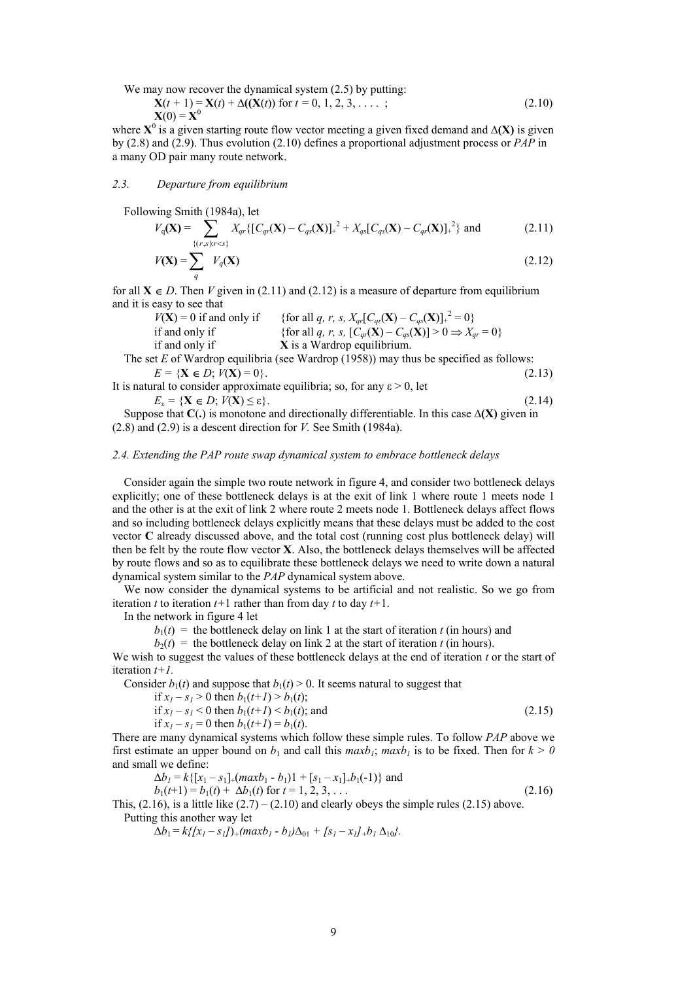We may now recover the dynamical system  $(2.5)$  by putting:

$$
\mathbf{X}(t+1) = \mathbf{X}(t) + \Delta((\mathbf{X}(t)) \text{ for } t = 0, 1, 2, 3, \dots ;
$$
\n
$$
\mathbf{X}(0) = \mathbf{X}^0
$$
\n(2.10)

where  $X^0$  is a given starting route flow vector meeting a given fixed demand and  $\Delta(X)$  is given by (2.8) and (2.9). Thus evolution (2.10) defines a proportional adjustment process or *PAP* in a many OD pair many route network.

## *2.3. Departure from equilibrium*

Following Smith (1984a), let

$$
V_q(\mathbf{X}) = \sum_{\{(r,s):r
$$

$$
V(\mathbf{X}) = \sum_{q} V_q(\mathbf{X})
$$
\n(2.12)

for all  $X \in D$ . Then *V* given in (2.11) and (2.12) is a measure of departure from equilibrium and it is easy to see that

| $V(X) = 0$ if and only if                                                            | {for all q, r, s, $X_{qr}[C_{qr}(\mathbf{X}) - C_{qs}(\mathbf{X})]_{+}^{2} = 0$ }          |
|--------------------------------------------------------------------------------------|--------------------------------------------------------------------------------------------|
| if and only if                                                                       | {for all q, r, s, $[C_{qr}(\mathbf{X}) - C_{qs}(\mathbf{X})] > 0 \Rightarrow X_{qr} = 0$ } |
| if and only if                                                                       | <b>X</b> is a Wardrop equilibrium.                                                         |
| The set $E$ of Wardron coullibria (see Wardron (1059)) may thus be specified as foll |                                                                                            |

 The set *E* of Wardrop equilibria (see Wardrop (1958)) may thus be specified as follows:  $E = \{X \in D; V(X) = 0\}.$  (2.13)

It is natural to consider approximate equilibria; so, for any  $\varepsilon > 0$ , let  $E_{\varepsilon} = \{ \mathbf{X} \in D; V(\mathbf{X}) \le \varepsilon \}.$  (2.14)

 Suppose that **C**(**.**) is monotone and directionally differentiable. In this case **∆(X)** given in (2.8) and (2.9) is a descent direction for *V.* See Smith (1984a).

## *2.4. Extending the PAP route swap dynamical system to embrace bottleneck delays*

 Consider again the simple two route network in figure 4, and consider two bottleneck delays explicitly; one of these bottleneck delays is at the exit of link 1 where route 1 meets node 1 and the other is at the exit of link 2 where route 2 meets node 1. Bottleneck delays affect flows and so including bottleneck delays explicitly means that these delays must be added to the cost vector **C** already discussed above, and the total cost (running cost plus bottleneck delay) will then be felt by the route flow vector **X**. Also, the bottleneck delays themselves will be affected by route flows and so as to equilibrate these bottleneck delays we need to write down a natural dynamical system similar to the *PAP* dynamical system above.

We now consider the dynamical systems to be artificial and not realistic. So we go from iteration *t* to iteration  $t+1$  rather than from day *t* to day  $t+1$ .

In the network in figure 4 let

 $b_1(t)$  = the bottleneck delay on link 1 at the start of iteration *t* (in hours) and

 $b_2(t)$  = the bottleneck delay on link 2 at the start of iteration *t* (in hours).

We wish to suggest the values of these bottleneck delays at the end of iteration *t* or the start of iteration *t+1.* 

Consider  $b_1(t)$  and suppose that  $b_1(t) > 0$ . It seems natural to suggest that

if 
$$
x_1 - s_1 > 0
$$
 then  $b_1(t+1) > b_1(t)$ ;

if 
$$
x_1 - s_1 < 0
$$
 then  $b_1(t+1) < b_1(t)$ ; and  
(2.15)

if  $x_1 - s_1 = 0$  then  $b_1(t+1) = b_1(t)$ .

There are many dynamical systems which follow these simple rules. To follow *PAP* above we first estimate an upper bound on  $b_1$  and call this  $maxb_1$ ;  $maxb_1$  is to be fixed. Then for  $k > 0$ and small we define:

$$
\Delta b_1 = k\{ [x_1 - s_1]_+(max b_1 - b_1)1 + [s_1 - x_1]_+ b_1(-1) \} \text{ and}
$$
  
\n
$$
b_1(t+1) = b_1(t) + \Delta b_1(t) \text{ for } t = 1, 2, 3, ...
$$
\n(2.16)

This,  $(2.16)$ , is a little like  $(2.7) - (2.10)$  and clearly obeys the simple rules  $(2.15)$  above. Putting this another way let

 $\Delta b_1 = k\{[x_1 - s_1]\} + (maxb_1 - b_1)\Delta_{01} + [s_1 - x_1] + b_1 \Delta_{10}$ .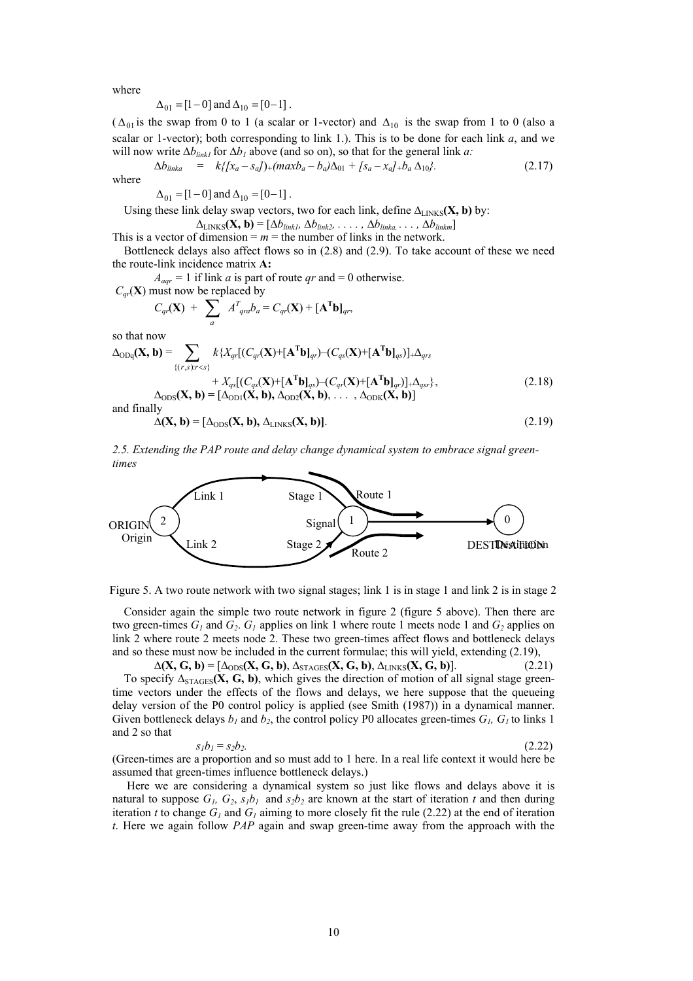where

$$
\Delta_{01} = [1 - 0] \text{ and } \Delta_{10} = [0 - 1].
$$

( $\Delta_{01}$  is the swap from 0 to 1 (a scalar or 1-vector) and  $\Delta_{10}$  is the swap from 1 to 0 (also a scalar or 1-vector); both corresponding to link 1.). This is to be done for each link  $a$ , and we will now write Δ*b*<sub>linkl</sub> for Δ*b<sub>1</sub>* above (and so on), so that for the general link *a*:

$$
\Delta b_{linka} = k\{[x_a - s_a]\}_+(max b_a - b_a)\Delta_{01} + [s_a - x_a]_+b_a \Delta_{10}\}.
$$
 (2.17)

 $\Delta_{01} = [1 - 0]$  and  $\Delta_{10} = [0 - 1]$ .

Using these link delay swap vectors, two for each link, define  $\Delta_{\text{LINKS}}(\mathbf{X}, \mathbf{b})$  by:

 $\Delta$ <sub>LINKS</sub>**(X, b)** =  $[Δb_{link1}, Δb_{link2}, …, Δb_{linka}..., Δb_{linkm}]$ 

This is a vector of dimension  $= m =$  the number of links in the network.

Bottleneck delays also affect flows so in (2.8) and (2.9). To take account of these we need the route-link incidence matrix **A:** 

 $A_{aqr} = 1$  if link *a* is part of route *qr* and = 0 otherwise.

 $C_{ar}(\mathbf{X})$  must now be replaced by

$$
C_{qr}(\mathbf{X}) + \sum_{a} A^{T}_{qra}b_{a} = C_{qr}(\mathbf{X}) + [\mathbf{A}^{T}\mathbf{b}]_{qr},
$$

so that now

$$
\Delta_{ODq}(\mathbf{X}, \mathbf{b}) = \sum_{\{(r,s):r\n
$$
\Delta_{ODS}(\mathbf{X}, \mathbf{b}) = [\Delta_{OD1}(\mathbf{X}, \mathbf{b}), \Delta_{OD2}(\mathbf{X}, \mathbf{b}), \dots, \Delta_{ODK}(\mathbf{X}, \mathbf{b})]
$$
\n(2.18)
$$

and finally

$$
\Delta(X, b) = [\Delta_{\rm ODS}(X, b), \Delta_{\rm LINKS}(X, b)].
$$
\n(2.19)

*2.5. Extending the PAP route and delay change dynamical system to embrace signal greentimes* 



Figure 5. A two route network with two signal stages; link 1 is in stage 1 and link 2 is in stage 2

Consider again the simple two route network in figure 2 (figure 5 above). Then there are two green-times  $G_1$  and  $G_2$ .  $G_1$  applies on link 1 where route 1 meets node 1 and  $G_2$  applies on link 2 where route 2 meets node 2. These two green-times affect flows and bottleneck delays and so these must now be included in the current formulae; this will yield, extending (2.19),

 $\Delta(X, G, b) = [\Delta_{\text{ODS}}(X, G, b), \Delta_{\text{STAGES}}(X, G, b), \Delta_{\text{LINKS}}(X, G, b)].$  (2.21)

To specify  $\Delta_{\text{STAGES}}(X, G, b)$ , which gives the direction of motion of all signal stage greentime vectors under the effects of the flows and delays, we here suppose that the queueing delay version of the P0 control policy is applied (see Smith (1987)) in a dynamical manner. Given bottleneck delays  $b_1$  and  $b_2$ , the control policy P0 allocates green-times  $G_1$ ,  $G_1$  to links 1 and 2 so that

$$
s_1b_1 = s_2b_2. \tag{2.22}
$$

(Green-times are a proportion and so must add to 1 here. In a real life context it would here be assumed that green-times influence bottleneck delays.)

Here we are considering a dynamical system so just like flows and delays above it is natural to suppose  $G_1$ ,  $G_2$ ,  $s_1b_1$  and  $s_2b_2$  are known at the start of iteration *t* and then during iteration *t* to change  $G_l$  and  $G_l$  aiming to more closely fit the rule (2.22) at the end of iteration *t*. Here we again follow *PAP* again and swap green-time away from the approach with the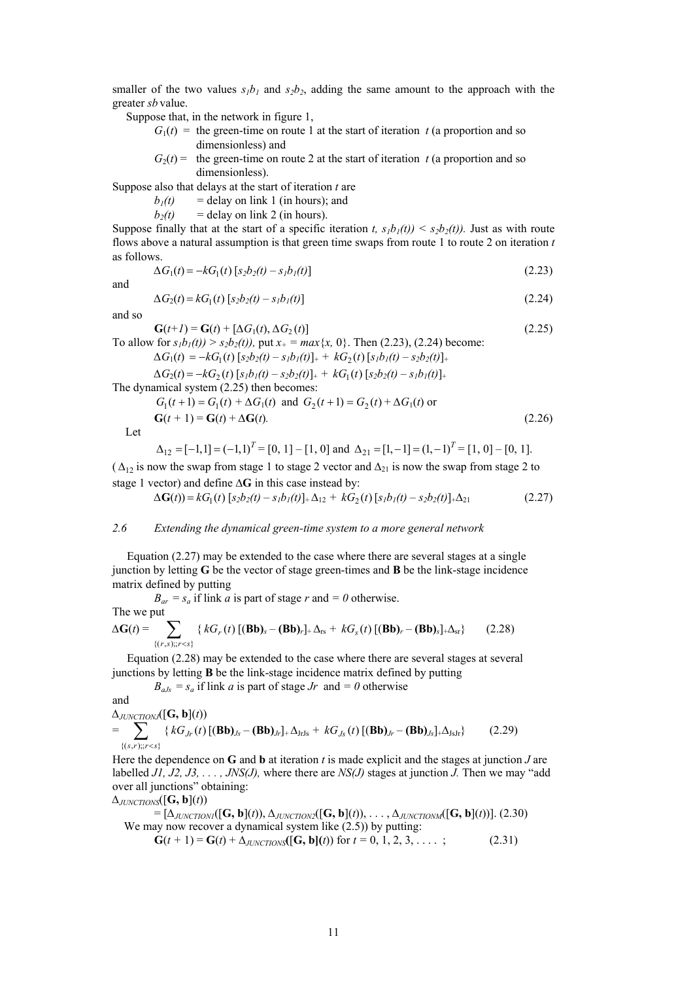smaller of the two values  $s_1b_1$  and  $s_2b_2$ , adding the same amount to the approach with the greater *sb* value.

Suppose that, in the network in figure 1,

- $G_1(t)$  = the green-time on route 1 at the start of iteration *t* (a proportion and so dimensionless) and
- $G_2(t)$  = the green-time on route 2 at the start of iteration *t* (a proportion and so dimensionless).

Suppose also that delays at the start of iteration *t* are

 $b_1(t)$  = delay on link 1 (in hours); and

 $b_2(t)$  = delay on link 2 (in hours).

Suppose finally that at the start of a specific iteration *t*,  $s<sub>1</sub>b<sub>1</sub>(t)$   $\leq$   $s<sub>2</sub>b<sub>2</sub>(t)$ ). Just as with route flows above a natural assumption is that green time swaps from route 1 to route 2 on iteration *t*  as follows.

$$
\Delta G_1(t) = -kG_1(t) \left[ s_2 b_2(t) - s_1 b_1(t) \right] \tag{2.23}
$$

and

$$
\Delta G_2(t) = kG_1(t) \left[ s_2 b_2(t) - s_1 b_1(t) \right] \tag{2.24}
$$

and so

 $G(t+1) = G(t) + [\Delta G_1(t), \Delta G_2(t)]$  (2.25) To allow for  $s_1b_1(t) > s_2b_2(t)$ , put  $x_+ = max\{x, 0\}$ . Then (2.23), (2.24) become:  $\Delta G_1(t) = -kG_1(t) [s_2b_2(t) - s_1b_1(t)]_+ + kG_2(t) [s_1b_1(t) - s_2b_2(t)]_+$  $\Delta G_2(t) = -kG_2(t) \left[ s_1b_1(t) - s_2b_2(t) \right]_+ + kG_1(t) \left[ s_2b_2(t) - s_1b_1(t) \right]_+$ The dynamical system (2.25) then becomes:

$$
G_1(t+1) = G_1(t) + \Delta G_1(t) \text{ and } G_2(t+1) = G_2(t) + \Delta G_1(t) \text{ or}
$$
  
\n
$$
\mathbf{G}(t+1) = \mathbf{G}(t) + \Delta \mathbf{G}(t). \tag{2.26}
$$

Let

$$
\Delta_{12} = [-1, 1] = (-1, 1)^{T} = [0, 1] - [1, 0] \text{ and } \Delta_{21} = [1, -1] = (1, -1)^{T} = [1, 0] - [0, 1].
$$

( $\Delta_{12}$  is now the swap from stage 1 to stage 2 vector and  $\Delta_{21}$  is now the swap from stage 2 to stage 1 vector) and define **∆G** in this case instead by:

$$
\Delta G(t) = kG_1(t) \left[ s_2 b_2(t) - s_1 b_1(t) \right]_+ \Delta_{12} + kG_2(t) \left[ s_1 b_1(t) - s_2 b_2(t) \right]_+ \Delta_{21}
$$
 (2.27)

# *2.6 Extending the dynamical green-time system to a more general network*

 Equation (2.27) may be extended to the case where there are several stages at a single junction by letting **G** be the vector of stage green-times and **B** be the link-stage incidence matrix defined by putting

 $B_{ar} = s_a$  if link *a* is part of stage *r* and  $= 0$  otherwise. The we put  $\Delta G(t) = \sum_{\{(r,s)\}; r (2.28)$  $kG_r(t)$   $[(Bb)_s - (Bb)_r]_+ \Delta_{rs} + kG_s(t)$ 

 Equation (2.28) may be extended to the case where there are several stages at several junctions by letting **B** be the link-stage incidence matrix defined by putting

 $B_{aJs} = s_a$  if link *a* is part of stage *Jr* and  $= 0$  otherwise

and

$$
\Delta_{JUNCTIONJ}([\mathbf{G}, \mathbf{b}](t))
$$
\n
$$
= \sum_{\{(s,r):r
$$

Here the dependence on **G** and **b** at iteration *t* is made explicit and the stages at junction *J* are labelled *J1, J2, J3, . . . , JNS(J),* where there are *NS(J)* stages at junction *J.* Then we may "add over all junctions" obtaining:

$$
\Delta_{JUNCTIONS}([\mathbf{G},\mathbf{b}](t))
$$

 $=[\Delta_{\text{JUNCTIONI}}([G, b](t)), \Delta_{\text{JUNCTION2}}([G, b](t)), \ldots, \Delta_{\text{JINCTIONM}}([G, b](t))].$  (2.30) We may now recover a dynamical system like  $(2.5)$ ) by putting:

 $G(t + 1) = G(t) + \Delta_{JUNCTIONS}(G, b)(t)$  for  $t = 0, 1, 2, 3, \ldots$ ; (2.31)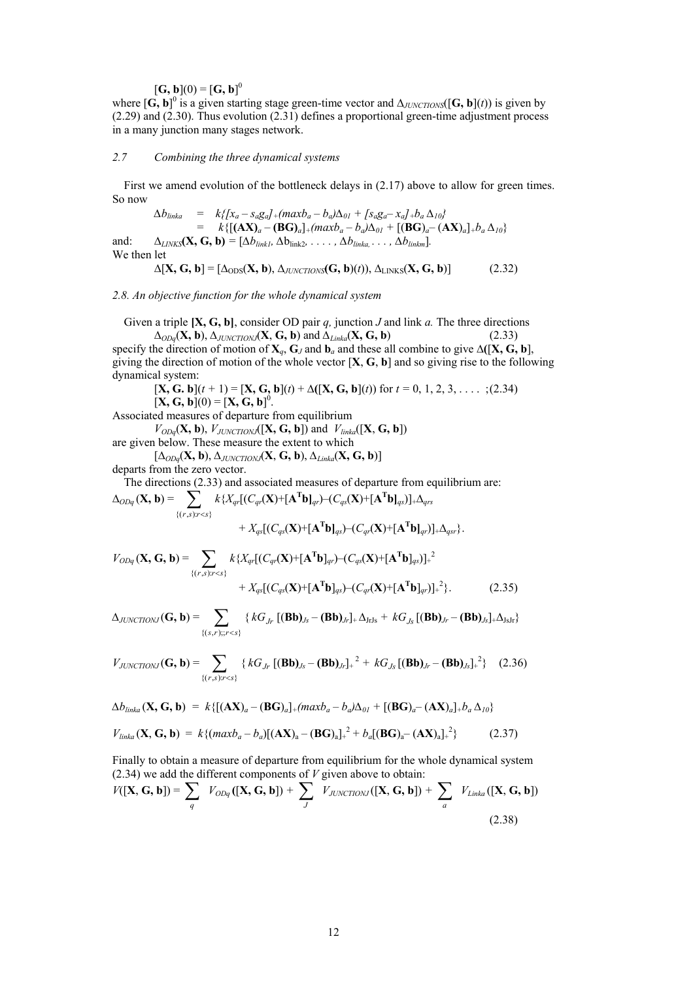$[\mathbf{G}, \mathbf{b}](0) = [\mathbf{G}, \mathbf{b}]^{0}$ 

where  $[\mathbf{G}, \mathbf{b}]$ <sup>0</sup> is a given starting stage green-time vector and  $\Delta_{JUNCTIONS}([\mathbf{G}, \mathbf{b}](t))$  is given by (2.29) and (2.30). Thus evolution (2.31) defines a proportional green-time adjustment process in a many junction many stages network.

### *2.7 Combining the three dynamical systems*

First we amend evolution of the bottleneck delays in (2.17) above to allow for green times. So now

 $\Delta b_{linka}$  =  $k\{[x_a - s_a g_a] + (max b_a - b_a)\Delta_{01} + [s_a g_a - x_a] + b_a \Delta_{10}\}$  $=$   $k\{[(\mathbf{AX})_a - (\mathbf{BG})_a]_+(maxb_a - b_a)\Delta_{01} + [(\mathbf{BG})_a - (\mathbf{AX})_a]_+b_a\Delta_{10}\}$ 

and:  $\Delta_{LINKS}(\mathbf{X}, \mathbf{G}, \mathbf{b}) = [\Delta b_{link1}, \Delta b_{link2}, \ldots, \Delta b_{linka}, \ldots, \Delta b_{linkm}].$ We then let

 $\Delta$ [**X**, **G**, **b**] =  $[\Delta_{\text{ODS}}(X, b), \Delta_{\text{JUNCTIONS}}(G, b)(t)), \Delta_{\text{LINKS}}(X, G, b)]$  (2.32)

*2.8. An objective function for the whole dynamical system*

 Given a triple **[X, G, b]**, consider OD pair *q,* junction *J* and link *a.* The three directions  $\Delta_{ODq}(\mathbf{X}, \mathbf{b}), \Delta_{JUNCTIONJ}(\mathbf{X}, \mathbf{G}, \mathbf{b})$  and  $\Delta_{Linkq}(\mathbf{X}, \mathbf{G}, \mathbf{b})$  (2.33)

specify the direction of motion of  $X_a$ ,  $G_J$  and  $b_a$  and these all combine to give  $\Delta([X, G, b])$ , giving the direction of motion of the whole vector [**X**, **G**, **b**] and so giving rise to the following dynamical system:

$$
[\mathbf{X}, \mathbf{G}, \mathbf{b}](t+1) = [\mathbf{X}, \mathbf{G}, \mathbf{b}](t) + \Delta([\mathbf{X}, \mathbf{G}, \mathbf{b}](t)) \text{ for } t = 0, 1, 2, 3, \dots
$$
 ; (2.34)  

$$
[\mathbf{X}, \mathbf{G}, \mathbf{b}](0) = [\mathbf{X}, \mathbf{G}, \mathbf{b}]^{0}.
$$

Associated measures of departure from equilibrium

 $V_{ODq}(\mathbf{X}, \mathbf{b})$ ,  $V_{JUNCTIONJ}([\mathbf{X}, \mathbf{G}, \mathbf{b}])$  and  $V_{linka}([\mathbf{X}, \mathbf{G}, \mathbf{b}])$ are given below. These measure the extent to which

[∆*ODq*(**X, b**), *∆JUNCTIONJ*(**X**, **G, b**), *∆Linka*(**X, G, b**)]

departs from the zero vector.

The directions (2.33) and associated measures of departure from equilibrium are:

$$
\Delta_{ODq}(\mathbf{X},\mathbf{b})=\sum_{\{(r,s):r
$$

$$
V_{ODq}(\mathbf{X}, \mathbf{G}, \mathbf{b}) = \sum_{\{(r,s):r (2.35)
$$

$$
\Delta_{JUNCTIONJ}(\mathbf{G}, \mathbf{b}) = \sum_{\{(s,r); r < s\}} \{ kG_{Jr} [(\mathbf{B}\mathbf{b})_{Js} - (\mathbf{B}\mathbf{b})_{Jr} ] + \Delta_{JrJs} + kG_{Js} [(\mathbf{B}\mathbf{b})_{Jr} - (\mathbf{B}\mathbf{b})_{Js} ] + \Delta_{JsJr} \}
$$

$$
V_{JUNCTIONJ}(\mathbf{G}, \mathbf{b}) = \sum_{\{(r,s):r
$$

$$
\Delta b_{linka}(\mathbf{X}, \mathbf{G}, \mathbf{b}) = k \{ [(\mathbf{AX})_a - (\mathbf{B}\mathbf{G})_a] + (maxb_a - b_a)\Delta_{01} + [(\mathbf{BG})_a - (\mathbf{AX})_a] + b_a \Delta_{10} \}
$$

$$
V_{linka}(\mathbf{X}, \mathbf{G}, \mathbf{b}) = k \{ (maxb_a - b_a) [(\mathbf{AX})_a - (\mathbf{BG})_a]_+^2 + b_a [(\mathbf{BG})_a - (\mathbf{AX})_a]_+^2 \}
$$
(2.37)

Finally to obtain a measure of departure from equilibrium for the whole dynamical system (2.34) we add the different components of *V* given above to obtain:

$$
V([\mathbf{X}, \mathbf{G}, \mathbf{b}]) = \sum_{q} V_{ODq}([\mathbf{X}, \mathbf{G}, \mathbf{b}]) + \sum_{J} V_{JUNCTIONJ}([\mathbf{X}, \mathbf{G}, \mathbf{b}]) + \sum_{q} V_{Linka}([\mathbf{X}, \mathbf{G}, \mathbf{b}])
$$
\n(2.38)